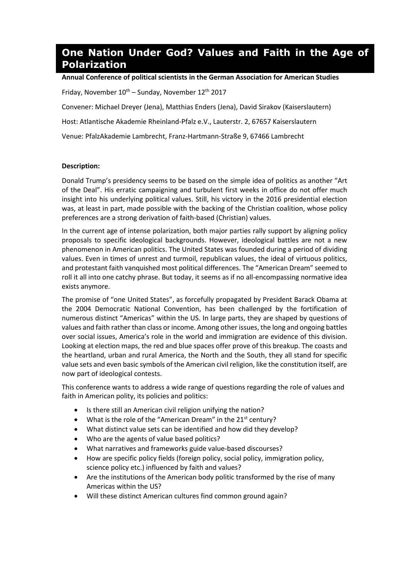## **One Nation Under God? Values and Faith in the Age of Polarization**

## **Annual Conference of political scientists in the German Association for American Studies**

Friday, November  $10^{th}$  – Sunday, November  $12^{th}$  2017

Convener: Michael Dreyer (Jena), Matthias Enders (Jena), David Sirakov (Kaiserslautern)

Host: Atlantische Akademie Rheinland-Pfalz e.V., Lauterstr. 2, 67657 Kaiserslautern

Venue: PfalzAkademie Lambrecht, Franz-Hartmann-Straße 9, 67466 Lambrecht

## **Description:**

Donald Trump's presidency seems to be based on the simple idea of politics as another "Art of the Deal". His erratic campaigning and turbulent first weeks in office do not offer much insight into his underlying political values. Still, his victory in the 2016 presidential election was, at least in part, made possible with the backing of the Christian coalition, whose policy preferences are a strong derivation of faith-based (Christian) values.

In the current age of intense polarization, both major parties rally support by aligning policy proposals to specific ideological backgrounds. However, ideological battles are not a new phenomenon in American politics. The United States was founded during a period of dividing values. Even in times of unrest and turmoil, republican values, the ideal of virtuous politics, and protestant faith vanquished most political differences. The "American Dream" seemed to roll it all into one catchy phrase. But today, it seems as if no all-encompassing normative idea exists anymore.

The promise of "one United States", as forcefully propagated by President Barack Obama at the 2004 Democratic National Convention, has been challenged by the fortification of numerous distinct "Americas" within the US. In large parts, they are shaped by questions of values and faith rather than class or income. Among other issues, the long and ongoing battles over social issues, America's role in the world and immigration are evidence of this division. Looking at election maps, the red and blue spaces offer prove of this breakup. The coasts and the heartland, urban and rural America, the North and the South, they all stand for specific value sets and even basic symbols of the American civil religion, like the constitution itself, are now part of ideological contests.

This conference wants to address a wide range of questions regarding the role of values and faith in American polity, its policies and politics:

- Is there still an American civil religion unifying the nation?
- $\bullet$  What is the role of the "American Dream" in the 21<sup>st</sup> century?
- What distinct value sets can be identified and how did they develop?
- Who are the agents of value based politics?
- x What narratives and frameworks guide value-based discourses?
- How are specific policy fields (foreign policy, social policy, immigration policy, science policy etc.) influenced by faith and values?
- Are the institutions of the American body politic transformed by the rise of many Americas within the US?
- Will these distinct American cultures find common ground again?